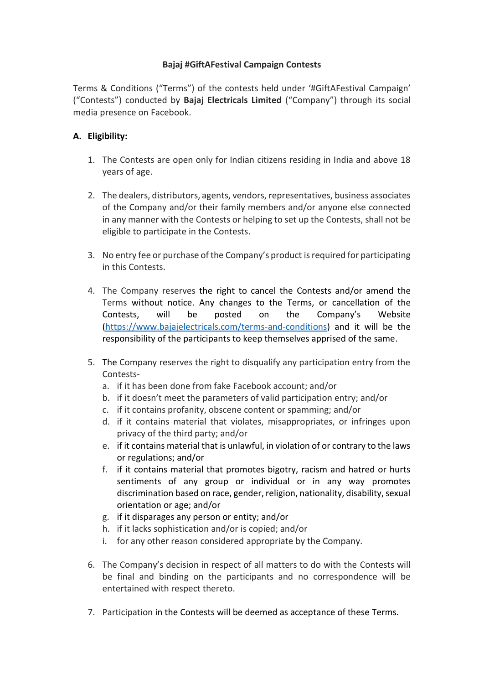# **Bajaj #GiftAFestival Campaign Contests**

Terms & Conditions ("Terms") of the contests held under '#GiftAFestival Campaign' ("Contests") conducted by **Bajaj Electricals Limited** ("Company") through its social media presence on Facebook.

# **A. Eligibility:**

- 1. The Contests are open only for Indian citizens residing in India and above 18 years of age.
- 2. The dealers, distributors, agents, vendors, representatives, business associates of the Company and/or their family members and/or anyone else connected in any manner with the Contests or helping to set up the Contests, shall not be eligible to participate in the Contests.
- 3. No entry fee or purchase of the Company's product is required for participating in this Contests.
- 4. The Company reserves the right to cancel the Contests and/or amend the Terms without notice. Any changes to the Terms, or cancellation of the Contests, will be posted on the Company's Website [\(https://www.bajajelectricals.com/terms-and-conditions\)](https://www.bajajelectricals.com/terms-and-conditions) and it will be the responsibility of the participants to keep themselves apprised of the same.
- 5. The Company reserves the right to disqualify any participation entry from the Contests
	- a. if it has been done from fake Facebook account; and/or
	- b. if it doesn't meet the parameters of valid participation entry; and/or
	- c. if it contains profanity, obscene content or spamming; and/or
	- d. if it contains material that violates, misappropriates, or infringes upon privacy of the third party; and/or
	- e. if it contains material that is unlawful, in violation of or contrary to the laws or regulations; and/or
	- f. if it contains material that promotes bigotry, racism and hatred or hurts sentiments of any group or individual or in any way promotes discrimination based on race, gender, religion, nationality, disability, sexual orientation or age; and/or
	- g. if it disparages any person or entity; and/or
	- h. if it lacks sophistication and/or is copied; and/or
	- i. for any other reason considered appropriate by the Company.
- 6. The Company's decision in respect of all matters to do with the Contests will be final and binding on the participants and no correspondence will be entertained with respect thereto.
- 7. Participation in the Contests will be deemed as acceptance of these Terms.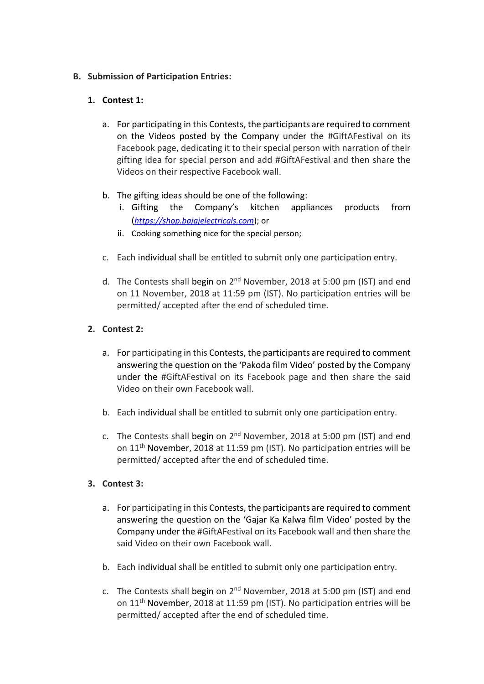## **B. Submission of Participation Entries:**

## **1. Contest 1:**

- a. For participating in this Contests, the participants are required to comment on the Videos posted by the Company under the #GiftAFestival on its Facebook page, dedicating it to their special person with narration of their gifting idea for special person and add #GiftAFestival and then share the Videos on their respective Facebook wall.
- b. The gifting ideas should be one of the following:
	- i. Gifting the Company's kitchen appliances products from (*[https://shop.bajajelectricals.com](https://www.google.com/url?sa=t&rct=j&q=&esrc=s&source=web&cd=1&cad=rja&uact=8&ved=2ahUKEwjZrKqrprPeAhVXTn0KHfJMAEYQFjAAegQIARAC&url=https%3A%2F%2Fshop.bajajelectricals.com%2F&usg=AOvVaw3NExXKWpZoYnRBX1IOkvsF)*); or
	- ii. Cooking something nice for the special person;
- c. Each individual shall be entitled to submit only one participation entry.
- d. The Contests shall begin on 2<sup>nd</sup> November, 2018 at 5:00 pm (IST) and end on 11 November, 2018 at 11:59 pm (IST). No participation entries will be permitted/ accepted after the end of scheduled time.

## **2. Contest 2:**

- a. For participating in this Contests, the participants are required to comment answering the question on the 'Pakoda film Video' posted by the Company under the #GiftAFestival on its Facebook page and then share the said Video on their own Facebook wall.
- b. Each individual shall be entitled to submit only one participation entry.
- c. The Contests shall begin on  $2^{nd}$  November, 2018 at 5:00 pm (IST) and end on 11th November, 2018 at 11:59 pm (IST). No participation entries will be permitted/ accepted after the end of scheduled time.

# **3. Contest 3:**

- a. For participating in this Contests, the participants are required to comment answering the question on the 'Gajar Ka Kalwa film Video' posted by the Company under the #GiftAFestival on its Facebook wall and then share the said Video on their own Facebook wall.
- b. Each individual shall be entitled to submit only one participation entry.
- c. The Contests shall begin on  $2^{nd}$  November, 2018 at 5:00 pm (IST) and end on 11th November, 2018 at 11:59 pm (IST). No participation entries will be permitted/ accepted after the end of scheduled time.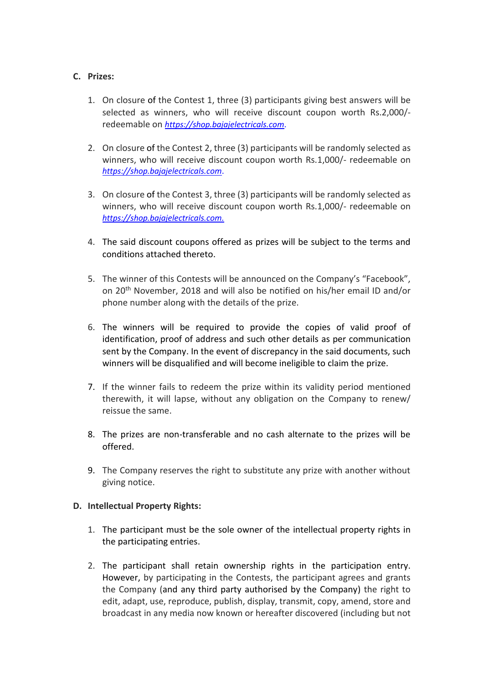#### **C. Prizes:**

- 1. On closure of the Contest 1, three (3) participants giving best answers will be selected as winners, who will receive discount coupon worth Rs.2,000/ redeemable on *[https://shop.bajajelectricals.com](https://www.google.com/url?sa=t&rct=j&q=&esrc=s&source=web&cd=1&cad=rja&uact=8&ved=2ahUKEwjZrKqrprPeAhVXTn0KHfJMAEYQFjAAegQIARAC&url=https%3A%2F%2Fshop.bajajelectricals.com%2F&usg=AOvVaw3NExXKWpZoYnRBX1IOkvsF)*.
- 2. On closure of the Contest 2, three (3) participants will be randomly selected as winners, who will receive discount coupon worth Rs.1,000/- redeemable on *[https://shop.bajajelectricals.com](https://www.google.com/url?sa=t&rct=j&q=&esrc=s&source=web&cd=1&cad=rja&uact=8&ved=2ahUKEwjZrKqrprPeAhVXTn0KHfJMAEYQFjAAegQIARAC&url=https%3A%2F%2Fshop.bajajelectricals.com%2F&usg=AOvVaw3NExXKWpZoYnRBX1IOkvsF)*.
- 3. On closure of the Contest 3, three (3) participants will be randomly selected as winners, who will receive discount coupon worth Rs.1,000/- redeemable on *[https://shop.bajajelectricals.com.](https://www.google.com/url?sa=t&rct=j&q=&esrc=s&source=web&cd=1&cad=rja&uact=8&ved=2ahUKEwjZrKqrprPeAhVXTn0KHfJMAEYQFjAAegQIARAC&url=https%3A%2F%2Fshop.bajajelectricals.com%2F&usg=AOvVaw3NExXKWpZoYnRBX1IOkvsF)*
- 4. The said discount coupons offered as prizes will be subject to the terms and conditions attached thereto.
- 5. The winner of this Contests will be announced on the Company's "Facebook", on 20th November, 2018 and will also be notified on his/her email ID and/or phone number along with the details of the prize.
- 6. The winners will be required to provide the copies of valid proof of identification, proof of address and such other details as per communication sent by the Company. In the event of discrepancy in the said documents, such winners will be disqualified and will become ineligible to claim the prize.
- 7. If the winner fails to redeem the prize within its validity period mentioned therewith, it will lapse, without any obligation on the Company to renew/ reissue the same.
- 8. The prizes are non-transferable and no cash alternate to the prizes will be offered.
- 9. The Company reserves the right to substitute any prize with another without giving notice.

#### **D. Intellectual Property Rights:**

- 1. The participant must be the sole owner of the intellectual property rights in the participating entries.
- 2. The participant shall retain ownership rights in the participation entry. However, by participating in the Contests, the participant agrees and grants the Company (and any third party authorised by the Company) the right to edit, adapt, use, reproduce, publish, display, transmit, copy, amend, store and broadcast in any media now known or hereafter discovered (including but not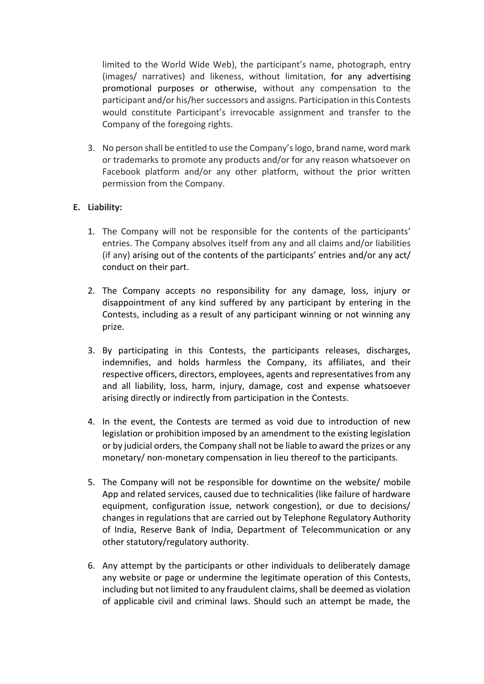limited to the World Wide Web), the participant's name, photograph, entry (images/ narratives) and likeness, without limitation, for any advertising promotional purposes or otherwise, without any compensation to the participant and/or his/her successors and assigns. Participation in this Contests would constitute Participant's irrevocable assignment and transfer to the Company of the foregoing rights.

3. No person shall be entitled to use the Company's logo, brand name, word mark or trademarks to promote any products and/or for any reason whatsoever on Facebook platform and/or any other platform, without the prior written permission from the Company.

## **E. Liability:**

- 1. The Company will not be responsible for the contents of the participants' entries. The Company absolves itself from any and all claims and/or liabilities (if any) arising out of the contents of the participants' entries and/or any act/ conduct on their part.
- 2. The Company accepts no responsibility for any damage, loss, injury or disappointment of any kind suffered by any participant by entering in the Contests, including as a result of any participant winning or not winning any prize.
- 3. By participating in this Contests, the participants releases, discharges, indemnifies, and holds harmless the Company, its affiliates, and their respective officers, directors, employees, agents and representatives from any and all liability, loss, harm, injury, damage, cost and expense whatsoever arising directly or indirectly from participation in the Contests.
- 4. In the event, the Contests are termed as void due to introduction of new legislation or prohibition imposed by an amendment to the existing legislation or by judicial orders, the Company shall not be liable to award the prizes or any monetary/ non-monetary compensation in lieu thereof to the participants.
- 5. The Company will not be responsible for downtime on the website/ mobile App and related services, caused due to technicalities (like failure of hardware equipment, configuration issue, network congestion), or due to decisions/ changes in regulations that are carried out by Telephone Regulatory Authority of India, Reserve Bank of India, Department of Telecommunication or any other statutory/regulatory authority.
- 6. Any attempt by the participants or other individuals to deliberately damage any website or page or undermine the legitimate operation of this Contests, including but not limited to any fraudulent claims, shall be deemed as violation of applicable civil and criminal laws. Should such an attempt be made, the